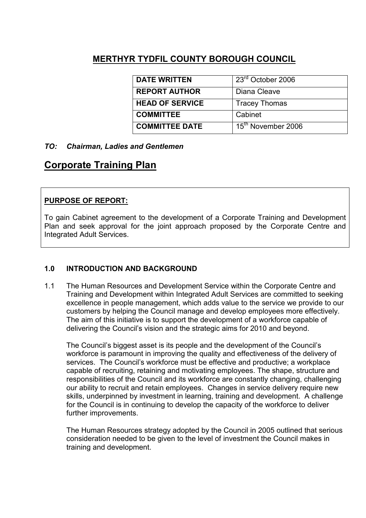## MERTHYR TYDFIL COUNTY BOROUGH COUNCIL

| <b>DATE WRITTEN</b>    | 23 <sup>rd</sup> October 2006  |
|------------------------|--------------------------------|
| <b>REPORT AUTHOR</b>   | Diana Cleave                   |
| <b>HEAD OF SERVICE</b> | <b>Tracey Thomas</b>           |
| <b>COMMITTEE</b>       | Cabinet                        |
| <b>COMMITTEE DATE</b>  | 15 <sup>th</sup> November 2006 |

## TO: Chairman, Ladies and Gentlemen

# Corporate Training Plan

## PURPOSE OF REPORT:

To gain Cabinet agreement to the development of a Corporate Training and Development Plan and seek approval for the joint approach proposed by the Corporate Centre and Integrated Adult Services.

## 1.0 INTRODUCTION AND BACKGROUND

1.1 The Human Resources and Development Service within the Corporate Centre and Training and Development within Integrated Adult Services are committed to seeking excellence in people management, which adds value to the service we provide to our customers by helping the Council manage and develop employees more effectively. The aim of this initiative is to support the development of a workforce capable of delivering the Council's vision and the strategic aims for 2010 and beyond.

The Council's biggest asset is its people and the development of the Council's workforce is paramount in improving the quality and effectiveness of the delivery of services. The Council's workforce must be effective and productive; a workplace capable of recruiting, retaining and motivating employees. The shape, structure and responsibilities of the Council and its workforce are constantly changing, challenging our ability to recruit and retain employees. Changes in service delivery require new skills, underpinned by investment in learning, training and development. A challenge for the Council is in continuing to develop the capacity of the workforce to deliver further improvements.

The Human Resources strategy adopted by the Council in 2005 outlined that serious consideration needed to be given to the level of investment the Council makes in training and development.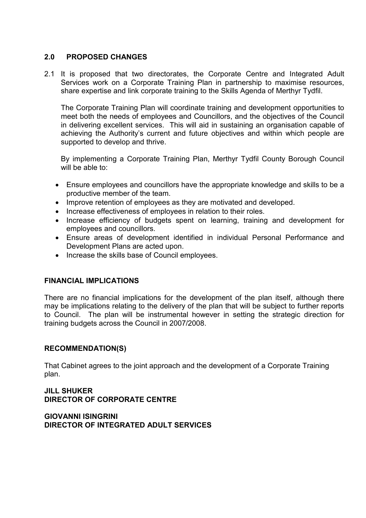#### 2.0 PROPOSED CHANGES

2.1 It is proposed that two directorates, the Corporate Centre and Integrated Adult Services work on a Corporate Training Plan in partnership to maximise resources, share expertise and link corporate training to the Skills Agenda of Merthyr Tydfil.

The Corporate Training Plan will coordinate training and development opportunities to meet both the needs of employees and Councillors, and the objectives of the Council in delivering excellent services. This will aid in sustaining an organisation capable of achieving the Authority's current and future objectives and within which people are supported to develop and thrive.

By implementing a Corporate Training Plan, Merthyr Tydfil County Borough Council will be able to:

- Ensure employees and councillors have the appropriate knowledge and skills to be a productive member of the team.
- Improve retention of employees as they are motivated and developed.
- Increase effectiveness of employees in relation to their roles.
- Increase efficiency of budgets spent on learning, training and development for employees and councillors.
- Ensure areas of development identified in individual Personal Performance and Development Plans are acted upon.
- Increase the skills base of Council employees.

#### FINANCIAL IMPLICATIONS

There are no financial implications for the development of the plan itself, although there may be implications relating to the delivery of the plan that will be subject to further reports to Council. The plan will be instrumental however in setting the strategic direction for training budgets across the Council in 2007/2008.

#### RECOMMENDATION(S)

That Cabinet agrees to the joint approach and the development of a Corporate Training plan.

#### JILL SHUKER DIRECTOR OF CORPORATE CENTRE

GIOVANNI ISINGRINI DIRECTOR OF INTEGRATED ADULT SERVICES